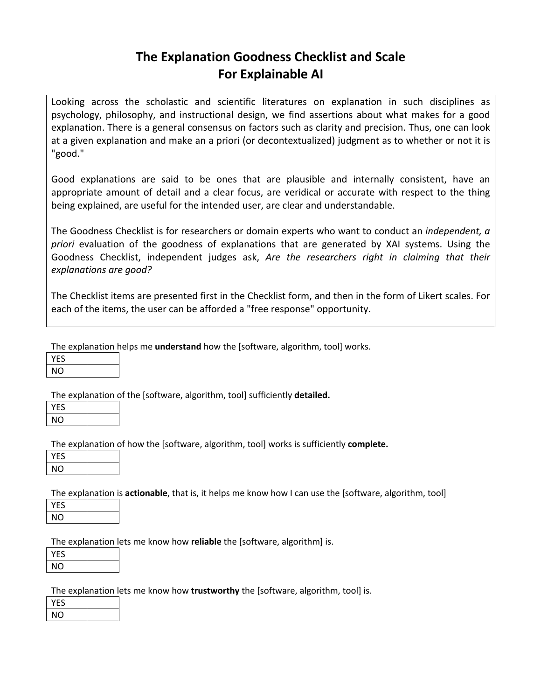# **The Explanation Goodness Checklist and Scale For Explainable AI**

Looking across the scholastic and scientific literatures on explanation in such disciplines as psychology, philosophy, and instructional design, we find assertions about what makes for a good explanation. There is a general consensus on factors such as clarity and precision. Thus, one can look at a given explanation and make an a priori (or decontextualized) judgment as to whether or not it is "good."

Good explanations are said to be ones that are plausible and internally consistent, have an appropriate amount of detail and a clear focus, are veridical or accurate with respect to the thing being explained, are useful for the intended user, are clear and understandable.

The Goodness Checklist is for researchers or domain experts who want to conduct an *independent, a priori* evaluation of the goodness of explanations that are generated by XAI systems. Using the Goodness Checklist, independent judges ask, *Are the researchers right in claiming that their explanations are good?*

The Checklist items are presented first in the Checklist form, and then in the form of Likert scales. For each of the items, the user can be afforded a "free response" opportunity.

The explanation helps me **understand** how the [software, algorithm, tool] works.

| YFS |  |
|-----|--|
| ΝO  |  |

The explanation of the [software, algorithm, tool] sufficiently **detailed.**

| ┍<br>$\ddot{\phantom{0}}$ |  |
|---------------------------|--|
| NO                        |  |

The explanation of how the [software, algorithm, tool] works is sufficiently **complete.**

| YFS |  |
|-----|--|
| NΟ  |  |
|     |  |

The explanation is **actionable**, that is, it helps me know how I can use the [software, algorithm, tool]

| YFS |  |
|-----|--|
| NO  |  |

The explanation lets me know how **reliable** the [software, algorithm] is.

| YFS |  |
|-----|--|
| NΟ  |  |

The explanation lets me know how **trustworthy** the [software, algorithm, tool] is.

| F٢ |  |
|----|--|
| NΟ |  |